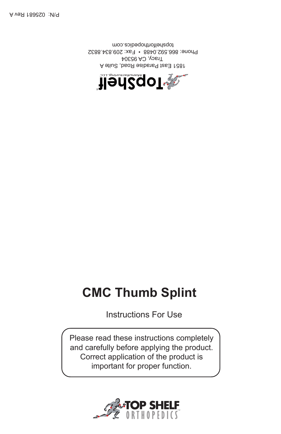

1851 East Paradise Road, Suite A Tracy, CA 95304 Phone: 866.592.0488 • Fax: 209.834.8832 topshelforthopedics.com

**Handa Religion** 

Instructions For Use

Please read these instructions completely and carefully before applying the product. Correct application of the product is important for proper function.